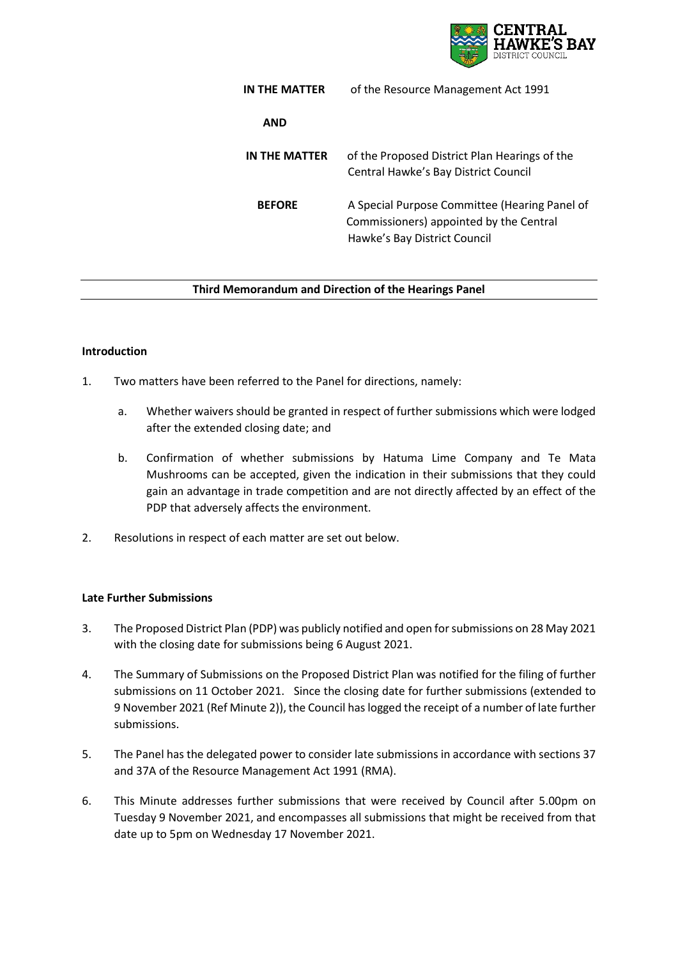

| IN THE MATTER | of the Resource Management Act 1991                                                                                      |
|---------------|--------------------------------------------------------------------------------------------------------------------------|
| AND           |                                                                                                                          |
| IN THE MATTER | of the Proposed District Plan Hearings of the<br>Central Hawke's Bay District Council                                    |
| <b>BEFORE</b> | A Special Purpose Committee (Hearing Panel of<br>Commissioners) appointed by the Central<br>Hawke's Bay District Council |

## **Third Memorandum and Direction of the Hearings Panel**

### **Introduction**

- 1. Two matters have been referred to the Panel for directions, namely:
	- a. Whether waivers should be granted in respect of further submissions which were lodged after the extended closing date; and
	- b. Confirmation of whether submissions by Hatuma Lime Company and Te Mata Mushrooms can be accepted, given the indication in their submissions that they could gain an advantage in trade competition and are not directly affected by an effect of the PDP that adversely affects the environment.
- 2. Resolutions in respect of each matter are set out below.

### **Late Further Submissions**

- 3. The Proposed District Plan (PDP) was publicly notified and open for submissions on 28 May 2021 with the closing date for submissions being 6 August 2021.
- 4. The Summary of Submissions on the Proposed District Plan was notified for the filing of further submissions on 11 October 2021. Since the closing date for further submissions (extended to 9 November 2021 (Ref Minute 2)), the Council has logged the receipt of a number of late further submissions.
- 5. The Panel has the delegated power to consider late submissions in accordance with sections 37 and 37A of the Resource Management Act 1991 (RMA).
- 6. This Minute addresses further submissions that were received by Council after 5.00pm on Tuesday 9 November 2021, and encompasses all submissions that might be received from that date up to 5pm on Wednesday 17 November 2021.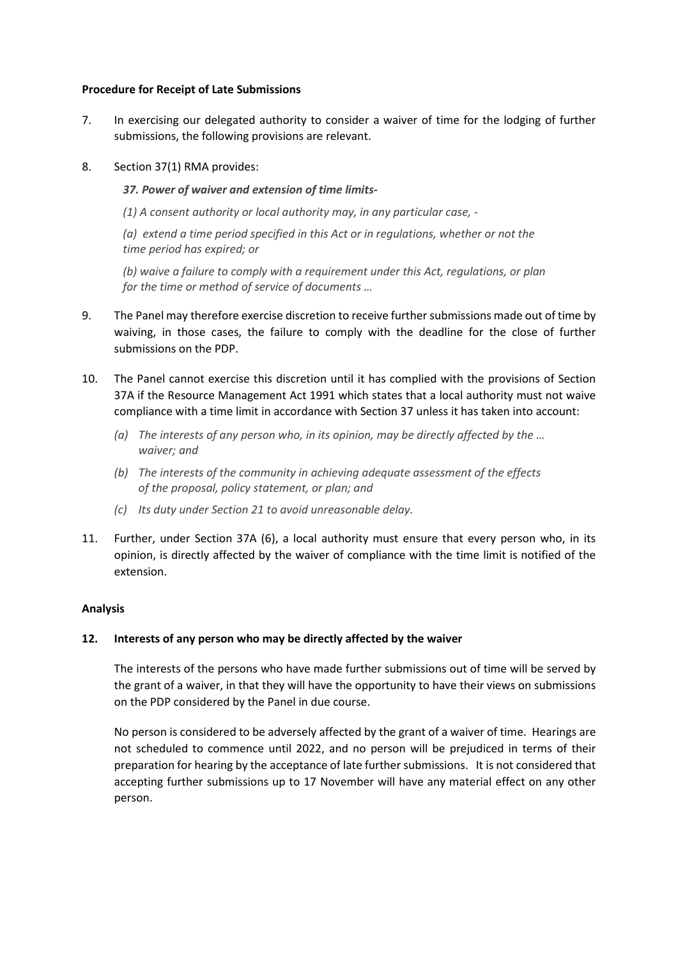### **Procedure for Receipt of Late Submissions**

- 7. In exercising our delegated authority to consider a waiver of time for the lodging of further submissions, the following provisions are relevant.
- 8. Section 37(1) RMA provides:

*37. Power of waiver and extension of time limits-*

*(1) A consent authority or local authority may, in any particular case, -*

*(a) extend a time period specified in this Act or in regulations, whether or not the time period has expired; or*

*(b) waive a failure to comply with a requirement under this Act, regulations, or plan for the time or method of service of documents …*

- 9. The Panel may therefore exercise discretion to receive further submissions made out of time by waiving, in those cases, the failure to comply with the deadline for the close of further submissions on the PDP.
- 10. The Panel cannot exercise this discretion until it has complied with the provisions of Section 37A if the Resource Management Act 1991 which states that a local authority must not waive compliance with a time limit in accordance with Section 37 unless it has taken into account:
	- *(a) The interests of any person who, in its opinion, may be directly affected by the … waiver; and*
	- *(b) The interests of the community in achieving adequate assessment of the effects of the proposal, policy statement, or plan; and*
	- *(c) Its duty under Section 21 to avoid unreasonable delay.*
- 11. Further, under Section 37A (6), a local authority must ensure that every person who, in its opinion, is directly affected by the waiver of compliance with the time limit is notified of the extension.

### **Analysis**

### **12. Interests of any person who may be directly affected by the waiver**

The interests of the persons who have made further submissions out of time will be served by the grant of a waiver, in that they will have the opportunity to have their views on submissions on the PDP considered by the Panel in due course.

No person is considered to be adversely affected by the grant of a waiver of time. Hearings are not scheduled to commence until 2022, and no person will be prejudiced in terms of their preparation for hearing by the acceptance of late further submissions. It is not considered that accepting further submissions up to 17 November will have any material effect on any other person.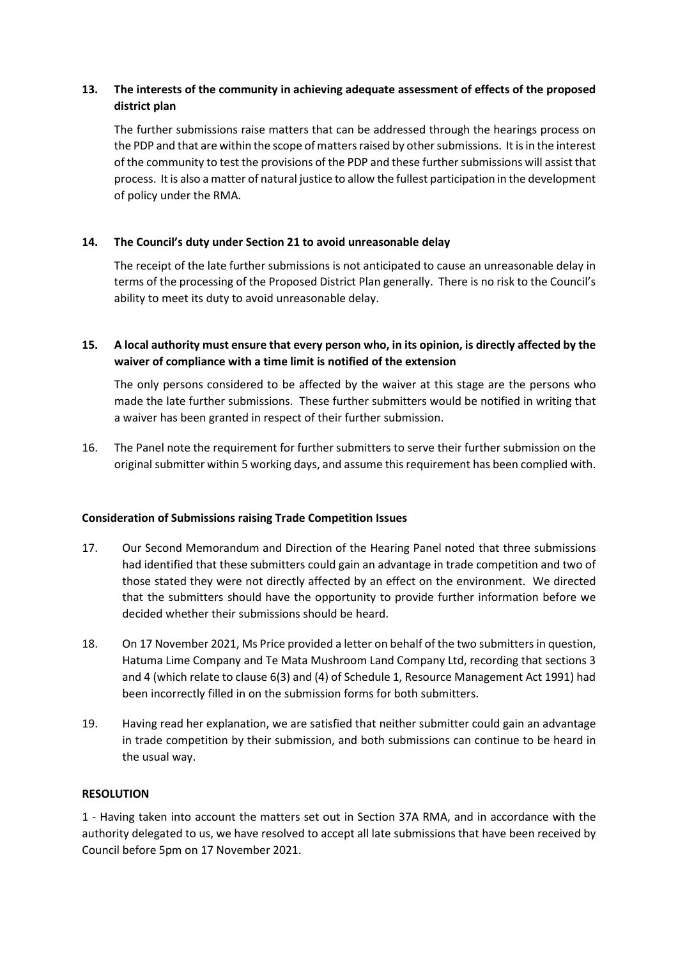# **13. The interests of the community in achieving adequate assessment of effects of the proposed district plan**

The further submissions raise matters that can be addressed through the hearings process on the PDP and that are within the scope of matters raised by other submissions. It is in the interest of the community to test the provisions of the PDP and these further submissions will assist that process. It is also a matter of natural justice to allow the fullest participation in the development of policy under the RMA.

## **14. The Council's duty under Section 21 to avoid unreasonable delay**

The receipt of the late further submissions is not anticipated to cause an unreasonable delay in terms of the processing of the Proposed District Plan generally. There is no risk to the Council's ability to meet its duty to avoid unreasonable delay.

**15. A local authority must ensure that every person who, in its opinion, is directly affected by the waiver of compliance with a time limit is notified of the extension**

The only persons considered to be affected by the waiver at this stage are the persons who made the late further submissions. These further submitters would be notified in writing that a waiver has been granted in respect of their further submission.

16. The Panel note the requirement for further submitters to serve their further submission on the original submitter within 5 working days, and assume this requirement has been complied with.

### **Consideration of Submissions raising Trade Competition Issues**

- 17. Our Second Memorandum and Direction of the Hearing Panel noted that three submissions had identified that these submitters could gain an advantage in trade competition and two of those stated they were not directly affected by an effect on the environment. We directed that the submitters should have the opportunity to provide further information before we decided whether their submissions should be heard.
- 18. On 17 November 2021, Ms Price provided a letter on behalf of the two submitters in question, Hatuma Lime Company and Te Mata Mushroom Land Company Ltd, recording that sections 3 and 4 (which relate to clause 6(3) and (4) of Schedule 1, Resource Management Act 1991) had been incorrectly filled in on the submission forms for both submitters.
- 19. Having read her explanation, we are satisfied that neither submitter could gain an advantage in trade competition by their submission, and both submissions can continue to be heard in the usual way.

### **RESOLUTION**

1 - Having taken into account the matters set out in Section 37A RMA, and in accordance with the authority delegated to us, we have resolved to accept all late submissions that have been received by Council before 5pm on 17 November 2021.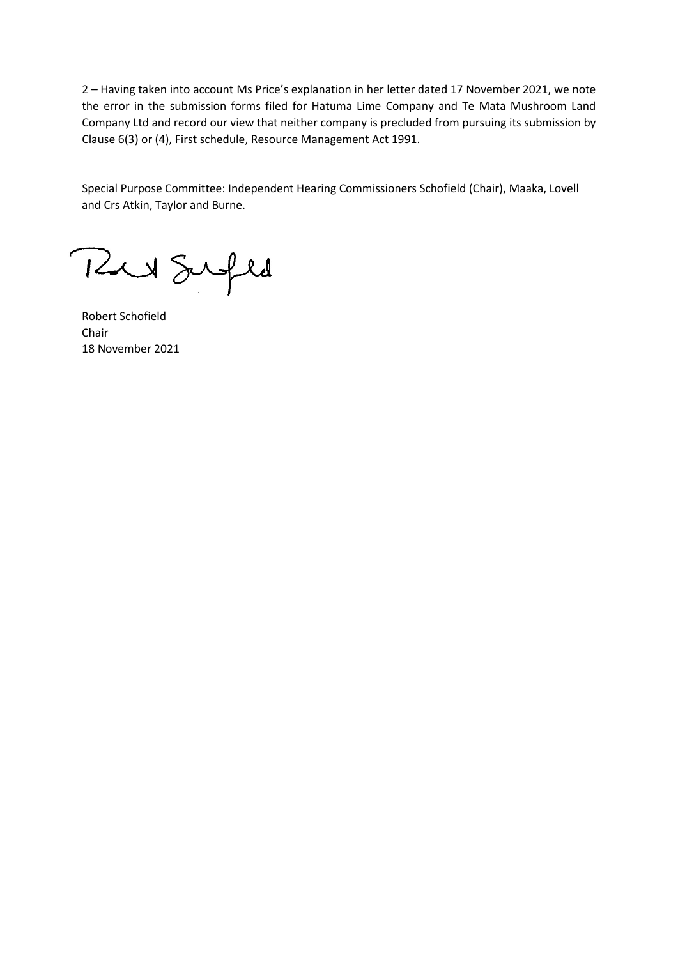2 – Having taken into account Ms Price's explanation in her letter dated 17 November 2021, we note the error in the submission forms filed for Hatuma Lime Company and Te Mata Mushroom Land Company Ltd and record our view that neither company is precluded from pursuing its submission by Clause 6(3) or (4), First schedule, Resource Management Act 1991.

Special Purpose Committee: Independent Hearing Commissioners Schofield (Chair), Maaka, Lovell and Crs Atkin, Taylor and Burne.

Rus Suped

Robert Schofield Chair 18 November 2021